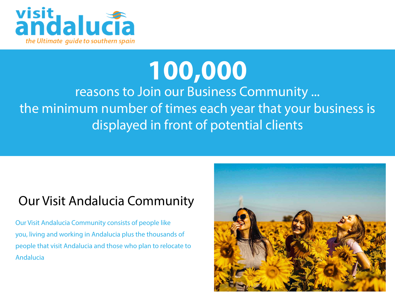

# **100,000**

reasons to Join our Business Community ... the minimum number of times each year that your business is displayed in front of potential clients

### Our Visit Andalucia Community

Our Visit Andalucia Community consists of people like you, living and working in Andalucia plus the thousands of people that visit Andalucia and those who plan to relocate to Andalucia

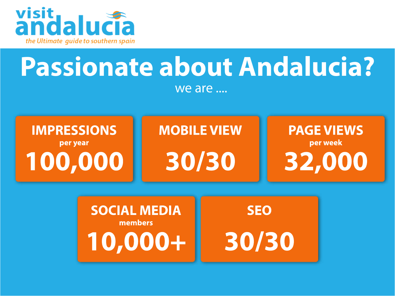

## **Passionate about Andalucia?** we are ....



**SOCIAL MEDIA SEO** members 30/30 10,000+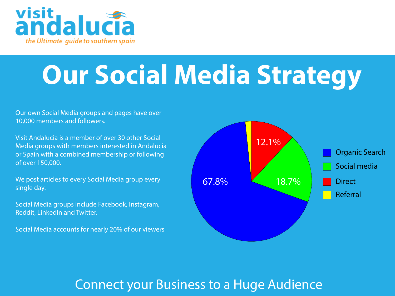

# **Our Social Media Strategy**

Our own Social Media groups and pages have over 10,000 members and followers.

Visit Andalucia is a member of over 30 other Social Media groups with members interested in Andalucia or Spain with a combined membership or following of over 150,000.

We post articles to every Social Media group every single day.

Social Media groups include Facebook, Instagram, Reddit, LinkedIn and Twitter.

Social Media accounts for nearly 20% of our viewers



### Connect your Business to a Huge Audience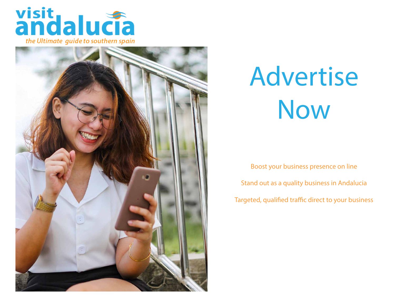



# Advertise Now

Boost your business presence on line Stand out as a quality business in Andalucia Targeted, qualified traffic direct to your business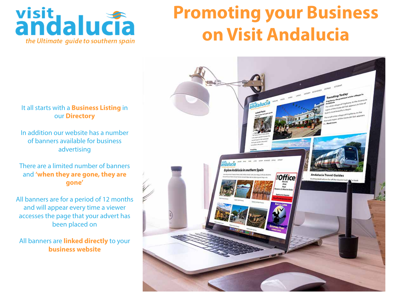

# **Promoting your Business on Visit Andalucia**



#### It all starts with a **Business Listing** in our **Directory**

In addition our website has a number of banners available for business advertising

#### There are a limited number of banners and **'when they are gone, they are gone'**

All banners are for a period of 12 months and will appear every time a viewer accesses the page that your advert has been placed on

All banners are **linked directly** to your **business website**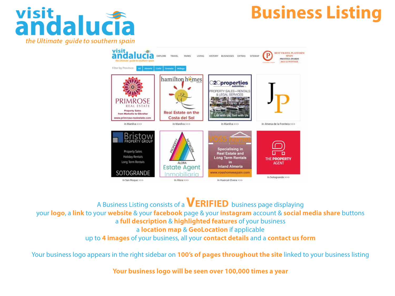

# **Business Listing**



A Business Listing consists of a **Verified** business page displaying your **logo**, a **link** to your **website** & your **facebook** page & your **instagram** account & **social media share** buttons a **full description** & **highlighted features** of your business a **location map** & **GeoLocation** if applicable up to **4 images** of your business, all your **contact details** and a **contact us form**

Your business logo appears in the right sidebar on **100's of pages throughout the site** linked to your business listing

**Your business logo will be seen over 100,000 times a year**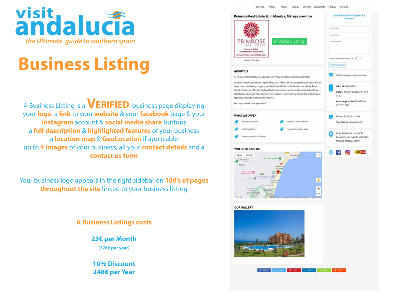

# **Business Listing**

A Business Listing is a **VERIFIED** business page displaying your **logo**, a **link** to your **website** & your **facebook** page & your **instagram** account & **social media share** buttons a **full description** & **highlighted features** of your business a **location map** & **GeoLocation** if applicable up to **4 images** of your business, all your **contact details** and a **contact us form**

Your business logo appears in the right sidebar on **100's of pages throughout the site** linked to your business listing

#### **A Business Listings costs**

**23€ per Month (276€ per year)**

**10% Discount 248€ per Year**

EXPLORE TRAVEL PARKS LIVING HISTORY BUSINESSES EXTRAS SITEMAL

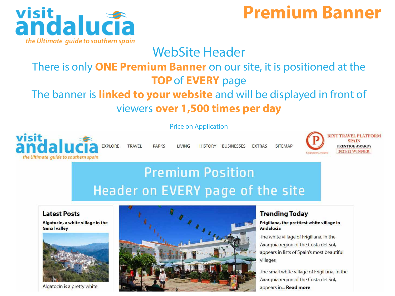

## **Premium Banner**

### WebSite Header

### There is only **ONE Premium Banner** on our site, it is positioned at the **TOP**of **EVERY** page

### The banner is **linked to your website** and will be displayed in front of viewers **over 1,500 times per day**

#### Price on Application



**TRAVEL PARKS LIVING** 

HISTORY BUSINESSES **FXTRAS** 



**BEST TRAVEL PLATFORM SPAIN PRESTIGE AWARDS** 2021/22 WINNER

### **Premium Position** Header on EVERY page of the site

#### **Latest Posts**

Algatocín, a white village in the **Genal valley** 



Algatocín is a pretty white



#### **Trending Today**

**SITFMAP** 

#### Frigiliana, the prettiest white village in **Andalucia**

The white village of Frigiliana, in the Axarquia region of the Costa del Sol, appears in lists of Spain's most beautiful villages

The small white village of Frigiliana, in the Axarquia region of the Costa del Sol, appears in... Read more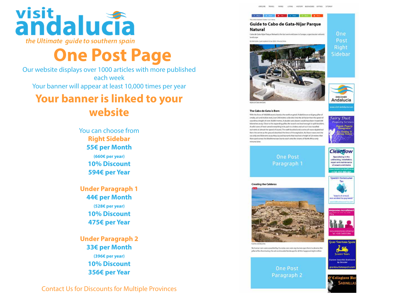

# **One Post Page**

Our website displays over 1000 articles with more published each week Your banner will appear at least 10,000 times per year

### **Your banner is linked to your website**

You can choose from **Right Sidebar 55€ per Month (660€ per year) 10% Discount 594€ per Year** 

**Under Paragraph 1 44€ per Month (528€ per year) 10% Discount 475€ per Year**

**Under Paragraph 2 33€ per Month (396€ per year) 10% Discount 356€ per Year**

Contact Us for Discounts for Multiple Provinces









**Creating the Calderas** 

The Cabo de Gata is Born With the force of 100,000 atomic bombs the earth erupted. A dark brown and grey pillar of smoke, ash and molten rock, over 200 metres wide shot into the air faster than the speed of sound to a height of over 20,000 exetres. A double sonic boom would have been heard 306 kilometers away. Close to the expanding pillar, the sound was load enough to split boulders. A solici wave of heat tunned everything in its path to cinders and ash as it too travelled outminds at almost the speed of sound. The earth buckled and a series of waves rippled out from the centre as the ground absorbed the force of the explosion. As these mayes net the sea only one kilometre away they caused trenarely that reached a height of 20 metres that then sped across the Meditemanean Sea to crash onto the shores of North Africa only minutes later



### **One Post** Paragraph 1











**One Post** Paragraph 2



grantour|smospain.co

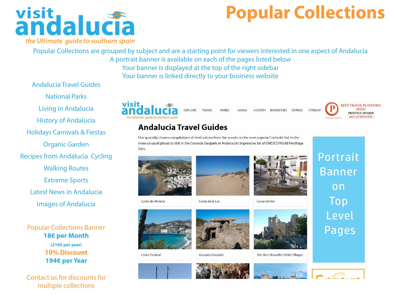

# **Popular Collections**

Popular Collections are grouped by subject and are a starting point for viewers interested in one aspect of Andalucia A portrait banner is available on each of the pages listed below Your banner is displayed at the top of the right sidebar

Your banner is linked directly to your business website

Andalucia Travel Guides

National Parks Living in Andalucia History of Andalucia Holidays Carnivals & Fiestas Organic Garden Recipes from Andalucia Cycling Walking Routes Extreme Sports Latest News in Andalucia

Images of Andalucia

Popular Collections Banner **18€ per Month (216€ per year) 10% Discount 194€ per Year** 

Contact us for discounts for multiple collections



**TRAVFI PARKS I IVING** 

HISTORY BUSINESSES EXTRAS **SITEMAP** 



### **Andalucia Travel Guides**

Our specially chosen compilations of destinations from the resorts on the ever popular Costa del Sol, to the more unusual places to visit in the Granada Geopark or Andalucia's impressive list of UNESCO World Hertitage Sites.





Costa de la Luz



Costa del Sol



**Costa Tropical** 

Costa de Almeria



Granada Geopark



The Most Beautiful White Villages